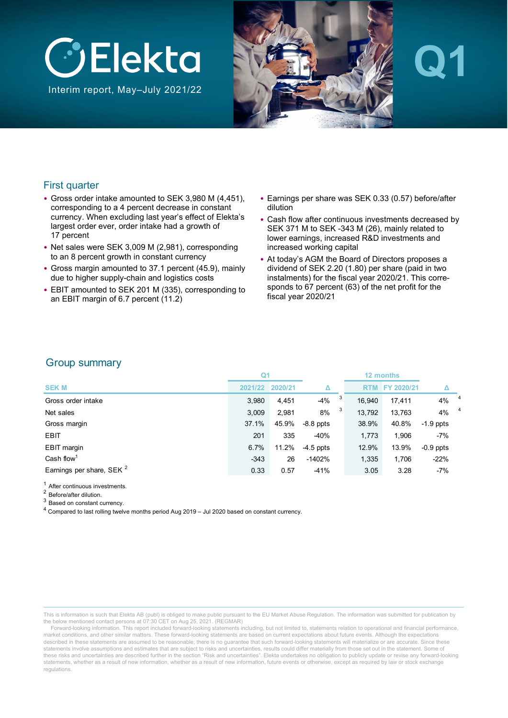

Interim report, May–July 2021/22



# **Q1**

### First quarter

- Gross order intake amounted to SEK 3,980 M (4,451), corresponding to a 4 percent decrease in constant currency. When excluding last year's effect of Elekta's largest order ever, order intake had a growth of 17 percent
- Net sales were SEK 3,009 M (2,981), corresponding to an 8 percent growth in constant currency
- Gross margin amounted to 37.1 percent (45.9), mainly due to higher supply-chain and logistics costs
- EBIT amounted to SEK 201 M (335), corresponding to an EBIT margin of 6.7 percent (11.2)
- Earnings per share was SEK 0.33 (0.57) before/after dilution
- Cash flow after continuous investments decreased by SEK 371 M to SEK -343 M (26), mainly related to lower earnings, increased R&D investments and increased working capital
- At today's AGM the Board of Directors proposes a dividend of SEK 2.20 (1.80) per share (paid in two instalments) for the fiscal year 2020/21. This corresponds to 67 percent (63) of the net profit for the fiscal year 2020/21

### Group summary

|                                      | Q1      |         |             |   | 12 months  |            |                    |                |
|--------------------------------------|---------|---------|-------------|---|------------|------------|--------------------|----------------|
| <b>SEK M</b>                         | 2021/22 | 2020/21 |             |   | <b>RTM</b> | FY 2020/21 |                    |                |
| Gross order intake                   | 3,980   | 4,451   | $-4%$       | 3 | 16.940     | 17.411     | $4\%$ <sup>4</sup> |                |
| Net sales                            | 3,009   | 2,981   | 8%          | 3 | 13.792     | 13,763     | 4%                 | $\overline{4}$ |
| Gross margin                         | 37.1%   | 45.9%   | $-8.8$ ppts |   | 38.9%      | 40.8%      | $-1.9$ ppts        |                |
| <b>EBIT</b>                          | 201     | 335     | $-40%$      |   | 1.773      | 1,906      | $-7%$              |                |
| EBIT margin                          | 6.7%    | 11.2%   | $-4.5$ ppts |   | 12.9%      | 13.9%      | $-0.9$ ppts        |                |
| Cash flow <sup>1</sup>               | $-343$  | 26      | $-1402%$    |   | 1.335      | 1,706      | $-22%$             |                |
| Earnings per share, SEK <sup>2</sup> | 0.33    | 0.57    | $-41%$      |   | 3.05       | 3.28       | $-7%$              |                |

<sup>1</sup> After continuous investments.

<sup>2</sup> Before/after dilution.

<sup>3</sup> Based on constant currency.

<sup>4</sup> Compared to last rolling twelve months period Aug 2019 – Jul 2020 based on constant currency.

This is information is such that Elekta AB (publ) is obliged to make public pursuant to the EU Market Abuse Regulation. The information was submitted for publication by the below mentioned contact persons at 07:30 CET on Aug 25, 2021. (REGMAR)

Forward-looking information. This report included forward-looking statements including, but not limited to, statements relation to operational and financial performance, market conditions, and other similar matters. These forward-looking statements are based on current expectations about future events. Although the expectations described in these statements are assumed to be reasonable, there is no quarantee that such forward-looking statements will materialize or are accurate. Since these statements involve assumptions and estimates that are subject to risks and uncertainties, results could differ materially from those set out in the statement. Some of these risks and uncertainties are described further in the section "Risk and uncertainties". Elekta undertakes no obligation to publicly update or revise any forward-looking statements, whether as a result of new information, whether as a result of new information, future events or otherwise, except as required by law or stock exchange regulations.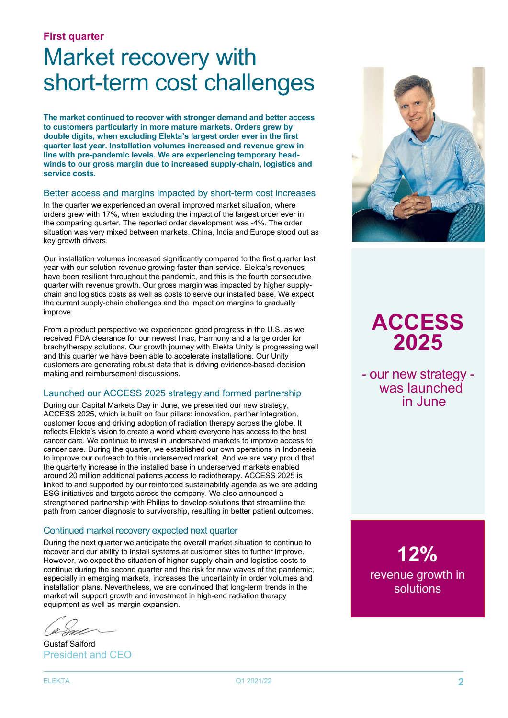#### **First quarter**

# Market recovery with short-term cost challenges

**The market continued to recover with stronger demand and better access to customers particularly in more mature markets. Orders grew by double digits, when excluding Elekta's largest order ever in the first quarter last year. Installation volumes increased and revenue grew in line with pre-pandemic levels. We are experiencing temporary headwinds to our gross margin due to increased supply-chain, logistics and service costs.**

#### Better access and margins impacted by short-term cost increases

In the quarter we experienced an overall improved market situation, where orders grew with 17%, when excluding the impact of the largest order ever in the comparing quarter. The reported order development was -4%. The order situation was very mixed between markets. China, India and Europe stood out as key growth drivers.

Our installation volumes increased significantly compared to the first quarter last year with our solution revenue growing faster than service. Elekta's revenues have been resilient throughout the pandemic, and this is the fourth consecutive quarter with revenue growth. Our gross margin was impacted by higher supplychain and logistics costs as well as costs to serve our installed base. We expect the current supply-chain challenges and the impact on margins to gradually improve.

From a product perspective we experienced good progress in the U.S. as we received FDA clearance for our newest linac, Harmony and a large order for brachytherapy solutions. Our growth journey with Elekta Unity is progressing well and this quarter we have been able to accelerate installations. Our Unity customers are generating robust data that is driving evidence-based decision making and reimbursement discussions.

#### Launched our ACCESS 2025 strategy and formed partnership

During our Capital Markets Day in June, we presented our new strategy, ACCESS 2025, which is built on four pillars: innovation, partner integration, customer focus and driving adoption of radiation therapy across the globe. It reflects Elekta's vision to create a world where everyone has access to the best cancer care. We continue to invest in underserved markets to improve access to cancer care. During the quarter, we established our own operations in Indonesia to improve our outreach to this underserved market. And we are very proud that the quarterly increase in the installed base in underserved markets enabled around 20 million additional patients access to radiotherapy. ACCESS 2025 is linked to and supported by our reinforced sustainability agenda as we are adding ESG initiatives and targets across the company. We also announced a strengthened partnership with Philips to develop solutions that streamline the path from cancer diagnosis to survivorship, resulting in better patient outcomes.

#### Continued market recovery expected next quarter

During the next quarter we anticipate the overall market situation to continue to recover and our ability to install systems at customer sites to further improve. However, we expect the situation of higher supply-chain and logistics costs to continue during the second quarter and the risk for new waves of the pandemic, especially in emerging markets, increases the uncertainty in order volumes and installation plans. Nevertheless, we are convinced that long-term trends in the market will support growth and investment in high-end radiation therapy equipment as well as margin expansion.

Gustaf Salford President and CEO



### **ACCESS 2025**

- our new strategy was launched in June

**12%** revenue growth in solutions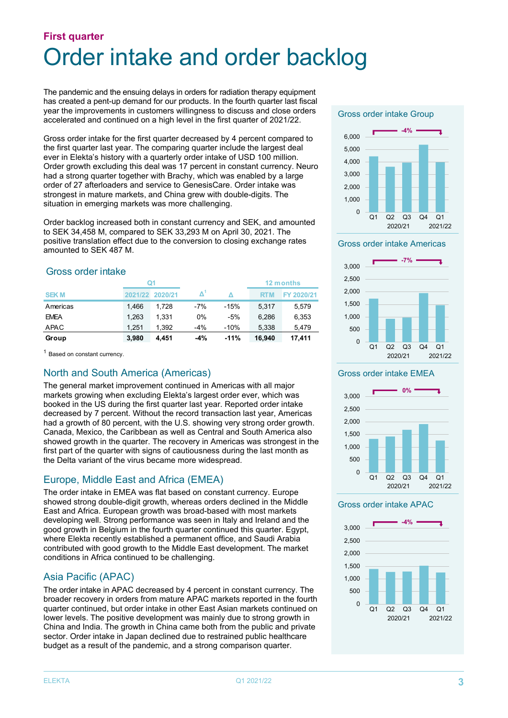### **First quarter** Order intake and order backlog

The pandemic and the ensuing delays in orders for radiation therapy equipment has created a pent-up demand for our products. In the fourth quarter last fiscal year the improvements in customers willingness to discuss and close orders accelerated and continued on a high level in the first quarter of 2021/22.

Gross order intake for the first quarter decreased by 4 percent compared to the first quarter last year. The comparing quarter include the largest deal ever in Elekta's history with a quarterly order intake of USD 100 million. Order growth excluding this deal was 17 percent in constant currency. Neuro had a strong quarter together with Brachy, which was enabled by a large order of 27 afterloaders and service to GenesisCare. Order intake was strongest in mature markets, and China grew with double-digits. The situation in emerging markets was more challenging.

Order backlog increased both in constant currency and SEK, and amounted to SEK 34,458 M, compared to SEK 33,293 M on April 30, 2021. The positive translation effect due to the conversion to closing exchange rates amounted to SEK 487 M.

### Gross order intake

|             | Ω1      |         |       |        |            | 12 months  |
|-------------|---------|---------|-------|--------|------------|------------|
| <b>SEKM</b> | 2021/22 | 2020/21 |       |        | <b>RTM</b> | FY 2020/21 |
| Americas    | 1.466   | 1.728   | $-7%$ | $-15%$ | 5.317      | 5.579      |
| <b>EMEA</b> | 1.263   | 1.331   | 0%    | -5%    | 6.286      | 6,353      |
| APAC        | 1.251   | 1.392   | $-4%$ | $-10%$ | 5.338      | 5,479      |
| Group       | 3.980   | 4.451   | -4%   | $-11%$ | 16.940     | 17.411     |

<sup>1</sup> Based on constant currency.

### North and South America (Americas)

The general market improvement continued in Americas with all major markets growing when excluding Elekta's largest order ever, which was booked in the US during the first quarter last year. Reported order intake decreased by 7 percent. Without the record transaction last year, Americas had a growth of 80 percent, with the U.S. showing very strong order growth. Canada, Mexico, the Caribbean as well as Central and South America also showed growth in the quarter. The recovery in Americas was strongest in the first part of the quarter with signs of cautiousness during the last month as the Delta variant of the virus became more widespread.

### Europe, Middle East and Africa (EMEA)

The order intake in EMEA was flat based on constant currency. Europe showed strong double-digit growth, whereas orders declined in the Middle East and Africa. European growth was broad-based with most markets developing well. Strong performance was seen in Italy and Ireland and the good growth in Belgium in the fourth quarter continued this quarter. Egypt, where Elekta recently established a permanent office, and Saudi Arabia contributed with good growth to the Middle East development. The market conditions in Africa continued to be challenging.

### Asia Pacific (APAC)

The order intake in APAC decreased by 4 percent in constant currency. The broader recovery in orders from mature APAC markets reported in the fourth quarter continued, but order intake in other East Asian markets continued on lower levels. The positive development was mainly due to strong growth in China and India. The growth in China came both from the public and private sector. Order intake in Japan declined due to restrained public healthcare budget as a result of the pandemic, and a strong comparison quarter.

#### Gross order intake Group







#### Gross order intake EMEA



#### Gross order intake APAC

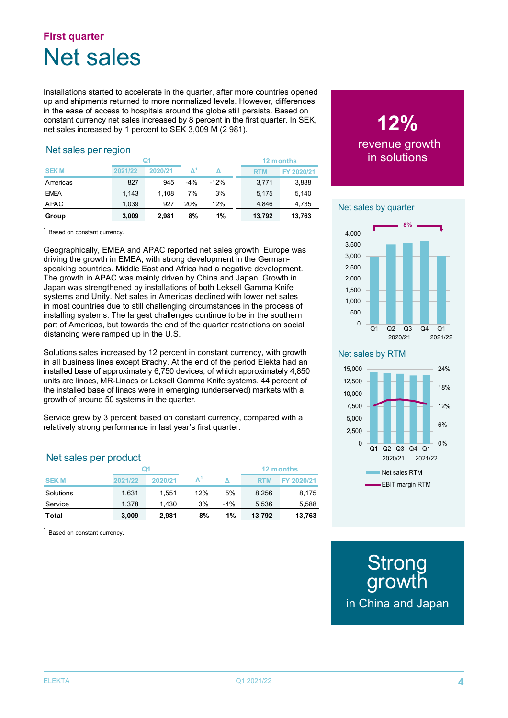### **First quarter** Net sales

Installations started to accelerate in the quarter, after more countries opened up and shipments returned to more normalized levels. However, differences in the ease of access to hospitals around the globe still persists. Based on constant currency net sales increased by 8 percent in the first quarter. In SEK, net sales increased by 1 percent to SEK 3,009 M (2 981).

### Net sales per region

|             | 0١      |         |       |        |            |            |  | 12 months |
|-------------|---------|---------|-------|--------|------------|------------|--|-----------|
| <b>SEKM</b> | 2021/22 | 2020/21 |       |        | <b>RTM</b> | FY 2020/21 |  |           |
| Americas    | 827     | 945     | $-4%$ | $-12%$ | 3,771      | 3,888      |  |           |
| <b>EMEA</b> | 1,143   | 1.108   | 7%    | 3%     | 5,175      | 5,140      |  |           |
| APAC        | 1.039   | 927     | 20%   | 12%    | 4.846      | 4,735      |  |           |
| Group       | 3,009   | 2.981   | 8%    | 1%     | 13,792     | 13,763     |  |           |

<sup>1</sup> Based on constant currency.

Geographically, EMEA and APAC reported net sales growth. Europe was driving the growth in EMEA, with strong development in the Germanspeaking countries. Middle East and Africa had a negative development. The growth in APAC was mainly driven by China and Japan. Growth in Japan was strengthened by installations of both Leksell Gamma Knife systems and Unity. Net sales in Americas declined with lower net sales in most countries due to still challenging circumstances in the process of installing systems. The largest challenges continue to be in the southern part of Americas, but towards the end of the quarter restrictions on social distancing were ramped up in the U.S.

Solutions sales increased by 12 percent in constant currency, with growth in all business lines except Brachy. At the end of the period Elekta had an installed base of approximately 6,750 devices, of which approximately 4,850 units are linacs, MR-Linacs or Leksell Gamma Knife systems. 44 percent of the installed base of linacs were in emerging (underserved) markets with a growth of around 50 systems in the quarter.

Service grew by 3 percent based on constant currency, compared with a relatively strong performance in last year's first quarter.

### Net sales per product

|              |         |         |     |       | 12 months  |            |  |
|--------------|---------|---------|-----|-------|------------|------------|--|
| <b>SEKM</b>  | 2021/22 | 2020/21 |     |       | <b>RTM</b> | FY 2020/21 |  |
| Solutions    | 1.631   | 1.551   | 12% | 5%    | 8.256      | 8.175      |  |
| Service      | 1.378   | 1.430   | 3%  | $-4%$ | 5.536      | 5,588      |  |
| <b>Total</b> | 3,009   | 2.981   | 8%  | 1%    | 13.792     | 13,763     |  |

<sup>1</sup> Based on constant currency.

### **12%** revenue growth in solutions

#### Net sales by quarter



#### Net sales by RTM



**Strong** growth in China and Japan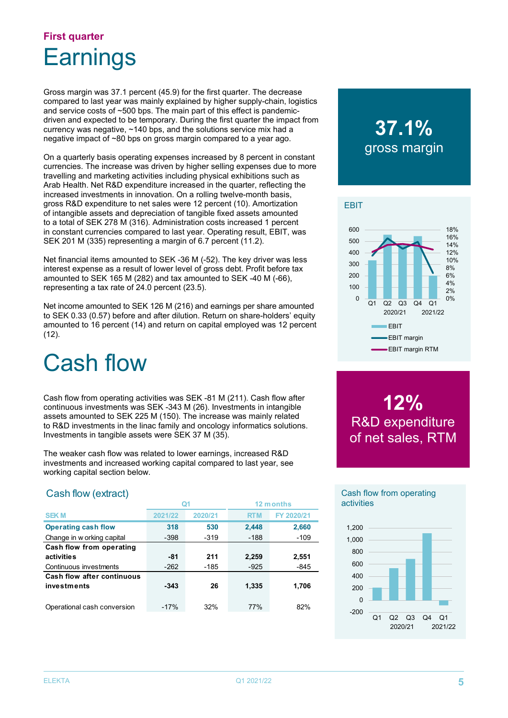### **First quarter Earnings**

Gross margin was 37.1 percent (45.9) for the first quarter. The decrease compared to last year was mainly explained by higher supply-chain, logistics and service costs of ~500 bps. The main part of this effect is pandemicdriven and expected to be temporary. During the first quarter the impact from currency was negative, ~140 bps, and the solutions service mix had a negative impact of ~80 bps on gross margin compared to a year ago.

On a quarterly basis operating expenses increased by 8 percent in constant currencies. The increase was driven by higher selling expenses due to more travelling and marketing activities including physical exhibitions such as Arab Health. Net R&D expenditure increased in the quarter, reflecting the increased investments in innovation. On a rolling twelve-month basis, gross R&D expenditure to net sales were 12 percent (10). Amortization of intangible assets and depreciation of tangible fixed assets amounted to a total of SEK 278 M (316). Administration costs increased 1 percent in constant currencies compared to last year. Operating result, EBIT, was SEK 201 M (335) representing a margin of 6.7 percent (11.2).

Net financial items amounted to SEK -36 M (-52). The key driver was less interest expense as a result of lower level of gross debt. Profit before tax amounted to SEK 165 M (282) and tax amounted to SEK -40 M (-66), representing a tax rate of 24.0 percent (23.5).

Net income amounted to SEK 126 M (216) and earnings per share amounted to SEK 0.33 (0.57) before and after dilution. Return on share-holders' equity amounted to 16 percent (14) and return on capital employed was 12 percent  $(12)$ .

# Cash flow

Cash flow from operating activities was SEK -81 M (211). Cash flow after continuous investments was SEK -343 M (26). Investments in intangible assets amounted to SEK 225 M (150). The increase was mainly related to R&D investments in the linac family and oncology informatics solutions. Investments in tangible assets were SEK 37 M (35).

The weaker cash flow was related to lower earnings, increased R&D investments and increased working capital compared to last year, see working capital section below.

### Cash flow (extract)

|                             | Q1      |         | 12 months  |            |
|-----------------------------|---------|---------|------------|------------|
| <b>SEKM</b>                 | 2021/22 | 2020/21 | <b>RTM</b> | FY 2020/21 |
| <b>Operating cash flow</b>  | 318     | 530     | 2,448      | 2,660      |
| Change in w orking capital  | $-398$  | $-319$  | $-188$     | $-109$     |
| Cash flow from operating    |         |         |            |            |
| activities                  | -81     | 211     | 2,259      | 2,551      |
| Continuous investments      | $-262$  | $-185$  | $-925$     | $-845$     |
| Cash flow after continuous  |         |         |            |            |
| investments                 | $-343$  | 26      | 1,335      | 1,706      |
|                             |         |         |            |            |
| Operational cash conversion | $-17%$  | 32%     | 77%        | 82%        |

### **37.1%** gross margin



**12%** R&D expenditure of net sales, RTM

#### Cash flow from operating activities

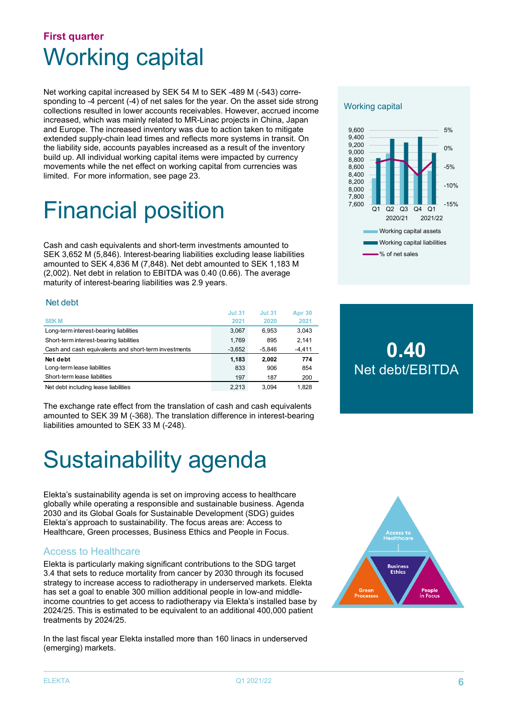### **First quarter** Working capital

Net working capital increased by SEK 54 M to SEK -489 M (-543) corresponding to -4 percent (-4) of net sales for the year. On the asset side strong collections resulted in lower accounts receivables. However, accrued income increased, which was mainly related to MR-Linac projects in China, Japan and Europe. The increased inventory was due to action taken to mitigate extended supply-chain lead times and reflects more systems in transit. On the liability side, accounts payables increased as a result of the inventory build up. All individual working capital items were impacted by currency movements while the net effect on working capital from currencies was limited. For more information, see page 23.

# Financial position

Cash and cash equivalents and short-term investments amounted to SEK 3,652 M (5,846). Interest-bearing liabilities excluding lease liabilities amounted to SEK 4,836 M (7,848). Net debt amounted to SEK 1,183 M (2,002). Net debt in relation to EBITDA was 0.40 (0.66). The average maturity of interest-bearing liabilities was 2.9 years.

#### Net debt

| <b>SEKM</b>                                          | <b>Jul 31</b><br>2021 | <b>Jul 31</b><br>2020 | <b>Apr 30</b><br>2021 |
|------------------------------------------------------|-----------------------|-----------------------|-----------------------|
| Long-term interest-bearing liabilities               | 3.067                 | 6.953                 | 3,043                 |
|                                                      |                       |                       |                       |
| Short-term interest-bearing liabilities              | 1,769                 | 895                   | 2.141                 |
| Cash and cash equivalents and short-term investments | $-3.652$              | -5.846                | $-4,411$              |
| Net debt                                             | 1.183                 | 2.002                 | 774                   |
| Long-term lease liabilities                          | 833                   | 906                   | 854                   |
| Short-term lease liabilities                         | 197                   | 187                   | 200                   |
| Net debt including lease liabilities                 | 2.213                 | 3.094                 | 1.828                 |

The exchange rate effect from the translation of cash and cash equivalents amounted to SEK 39 M (-368). The translation difference in interest-bearing liabilities amounted to SEK 33 M (-248).

# Sustainability agenda

Elekta's sustainability agenda is set on improving access to healthcare globally while operating a responsible and sustainable business. Agenda 2030 and its Global Goals for Sustainable Development (SDG) guides Elekta's approach to sustainability. The focus areas are: Access to Healthcare, Green processes, Business Ethics and People in Focus.

### Access to Healthcare

Elekta is particularly making significant contributions to the SDG target 3.4 that sets to reduce mortality from cancer by 2030 through its focused strategy to increase access to radiotherapy in underserved markets. Elekta has set a goal to enable 300 million additional people in low-and middleincome countries to get access to radiotherapy via Elekta's installed base by 2024/25. This is estimated to be equivalent to an additional 400,000 patient treatments by 2024/25.

In the last fiscal year Elekta installed more than 160 linacs in underserved (emerging) markets.

# **Business Ethic**

#### Working capital



### **0.40** Net debt/EBITDA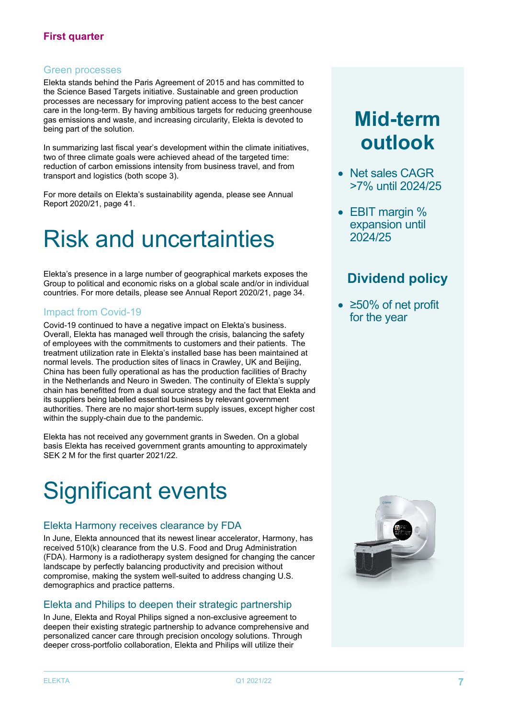### Green processes

Elekta stands behind the Paris Agreement of 2015 and has committed to the Science Based Targets initiative. Sustainable and green production processes are necessary for improving patient access to the best cancer care in the long-term. By having ambitious targets for reducing greenhouse gas emissions and waste, and increasing circularity, Elekta is devoted to being part of the solution.

In summarizing last fiscal year's development within the climate initiatives, two of three climate goals were achieved ahead of the targeted time: reduction of carbon emissions intensity from business travel, and from transport and logistics (both scope 3).

For more details on Elekta's sustainability agenda, please see Annual Report 2020/21, page 41.

# Risk and uncertainties

Elekta's presence in a large number of geographical markets exposes the Group to political and economic risks on a global scale and/or in individual countries. For more details, please see Annual Report 2020/21, page 34.

### Impact from Covid-19

Covid-19 continued to have a negative impact on Elekta's business. Overall, Elekta has managed well through the crisis, balancing the safety of employees with the commitments to customers and their patients. The treatment utilization rate in Elekta's installed base has been maintained at normal levels. The production sites of linacs in Crawley, UK and Beijing, China has been fully operational as has the production facilities of Brachy in the Netherlands and Neuro in Sweden. The continuity of Elekta's supply chain has benefitted from a dual source strategy and the fact that Elekta and its suppliers being labelled essential business by relevant government authorities. There are no major short-term supply issues, except higher cost within the supply-chain due to the pandemic.

Elekta has not received any government grants in Sweden. On a global basis Elekta has received government grants amounting to approximately SEK 2 M for the first quarter 2021/22.

# Significant events

### Elekta Harmony receives clearance by FDA

In June, Elekta announced that its newest linear accelerator, Harmony, has received 510(k) clearance from the U.S. Food and Drug Administration (FDA). Harmony is a radiotherapy system designed for changing the cancer landscape by perfectly balancing productivity and precision without compromise, making the system well-suited to address changing U.S. demographics and practice patterns.

### Elekta and Philips to deepen their strategic partnership

In June, Elekta and Royal Philips signed a non-exclusive agreement to deepen their existing strategic partnership to advance comprehensive and personalized cancer care through precision oncology solutions. Through deeper cross-portfolio collaboration, Elekta and Philips will utilize their

### **Mid-term outlook**

- Net sales CAGR >7% until 2024/25
- EBIT margin % expansion until 2024/25

### **Dividend policy**

• ≥50% of net profit for the year

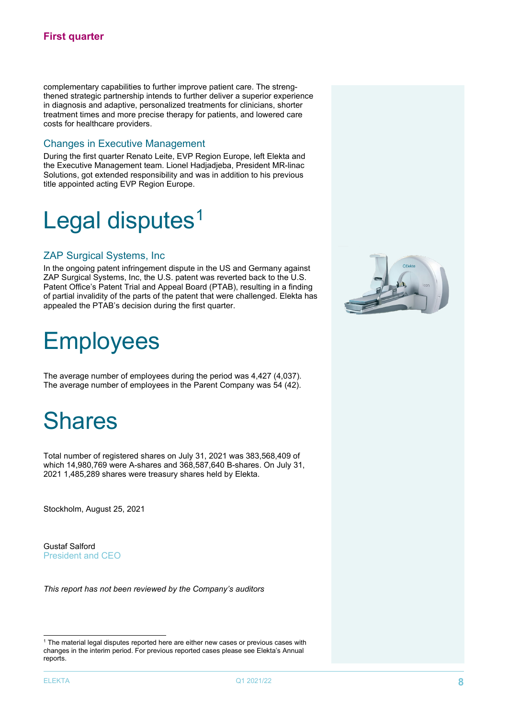complementary capabilities to further improve patient care. The strengthened strategic partnership intends to further deliver a superior experience in diagnosis and adaptive, personalized treatments for clinicians, shorter treatment times and more precise therapy for patients, and lowered care costs for healthcare providers.

### Changes in Executive Management

During the first quarter Renato Leite, EVP Region Europe, left Elekta and the Executive Management team. Lionel Hadjadjeba, President MR-linac Solutions, got extended responsibility and was in addition to his previous title appointed acting EVP Region Europe.

# Legal disputes<sup>[1](#page-7-0)</sup>

#### ZAP Surgical Systems, Inc

In the ongoing patent infringement dispute in the US and Germany against ZAP Surgical Systems, Inc, the U.S. patent was reverted back to the U.S. Patent Office's Patent Trial and Appeal Board (PTAB), resulting in a finding of partial invalidity of the parts of the patent that were challenged. Elekta has appealed the PTAB's decision during the first quarter.

## **Employees**

The average number of employees during the period was 4,427 (4,037). The average number of employees in the Parent Company was 54 (42).

## Shares

Total number of registered shares on July 31, 2021 was 383,568,409 of which 14,980,769 were A-shares and 368,587,640 B-shares. On July 31, 2021 1,485,289 shares were treasury shares held by Elekta.

Stockholm, August 25, 2021

Gustaf Salford President and CEO

*This report has not been reviewed by the Company's auditors*



<span id="page-7-0"></span><sup>&</sup>lt;sup>1</sup> The material legal disputes reported here are either new cases or previous cases with changes in the interim period. For previous reported cases please see Elekta's Annual reports.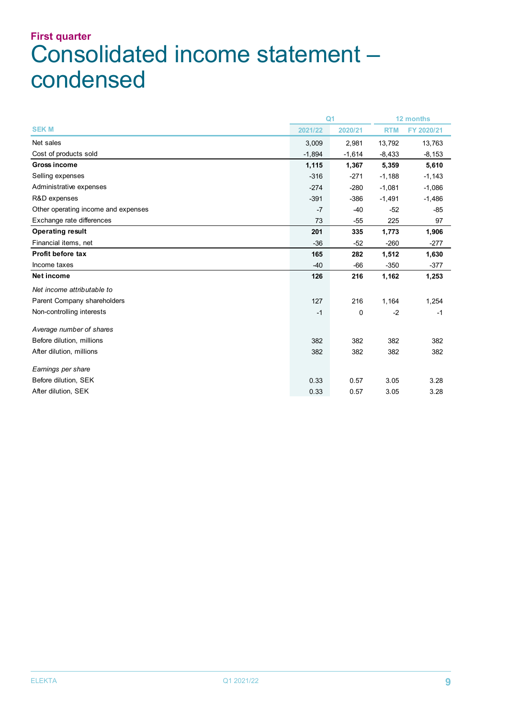### **First quarter** Consolidated income statement – condensed

|                                     | Q <sub>1</sub> |             | 12 months  |            |
|-------------------------------------|----------------|-------------|------------|------------|
| <b>SEKM</b>                         | 2021/22        | 2020/21     | <b>RTM</b> | FY 2020/21 |
| Net sales                           | 3,009          | 2,981       | 13,792     | 13,763     |
| Cost of products sold               | $-1,894$       | $-1,614$    | $-8,433$   | $-8,153$   |
| <b>Gross income</b>                 | 1,115          | 1,367       | 5,359      | 5,610      |
| Selling expenses                    | $-316$         | $-271$      | $-1,188$   | $-1,143$   |
| Administrative expenses             | $-274$         | $-280$      | $-1,081$   | $-1,086$   |
| R&D expenses                        | $-391$         | $-386$      | $-1,491$   | $-1,486$   |
| Other operating income and expenses | $-7$           | $-40$       | $-52$      | $-85$      |
| Exchange rate differences           | 73             | $-55$       | 225        | 97         |
| <b>Operating result</b>             | 201            | 335         | 1,773      | 1,906      |
| Financial items, net                | $-36$          | $-52$       | $-260$     | $-277$     |
| Profit before tax                   | 165            | 282         | 1,512      | 1,630      |
| Income taxes                        | $-40$          | $-66$       | $-350$     | $-377$     |
| Net income                          | 126            | 216         | 1,162      | 1,253      |
| Net income attributable to          |                |             |            |            |
| Parent Company shareholders         | 127            | 216         | 1,164      | 1,254      |
| Non-controlling interests           | $-1$           | $\mathbf 0$ | $-2$       | $-1$       |
| Average number of shares            |                |             |            |            |
| Before dilution, millions           | 382            | 382         | 382        | 382        |
| After dilution, millions            | 382            | 382         | 382        | 382        |
| Earnings per share                  |                |             |            |            |
| Before dilution, SEK                | 0.33           | 0.57        | 3.05       | 3.28       |
| After dilution, SEK                 | 0.33           | 0.57        | 3.05       | 3.28       |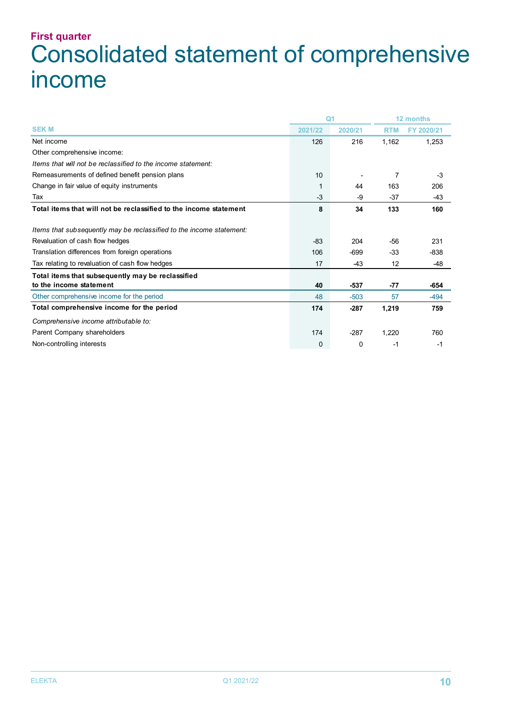### **First quarter** Consolidated statement of comprehensive income

|                                                                      | Q <sub>1</sub> |         | 12 months  |            |
|----------------------------------------------------------------------|----------------|---------|------------|------------|
| <b>SEK M</b>                                                         | 2021/22        | 2020/21 | <b>RTM</b> | FY 2020/21 |
| Net income                                                           | 126            | 216     | 1,162      | 1,253      |
| Other comprehensive income:                                          |                |         |            |            |
| Items that will not be reclassified to the income statement:         |                |         |            |            |
| Remeasurements of defined benefit pension plans                      | 10             |         | 7          | $-3$       |
| Change in fair value of equity instruments                           | 1              | 44      | 163        | 206        |
| Tax                                                                  | -3             | -9      | $-37$      | $-43$      |
| Total items that will not be reclassified to the income statement    | 8              | 34      | 133        | 160        |
| Items that subsequently may be reclassified to the income statement: |                |         |            |            |
| Revaluation of cash flow hedges                                      | -83            | 204     | $-56$      | 231        |
| Translation differences from foreign operations                      | 106            | $-699$  | -33        | $-838$     |
| Tax relating to revaluation of cash flow hedges                      | 17             | $-43$   | 12         | $-48$      |
| Total items that subsequently may be reclassified                    |                |         |            |            |
| to the income statement                                              | 40             | $-537$  | $-77$      | -654       |
| Other comprehensive income for the period                            | 48             | $-503$  | 57         | $-494$     |
| Total comprehensive income for the period                            | 174            | $-287$  | 1,219      | 759        |
| Comprehensive income attributable to:                                |                |         |            |            |
| Parent Company shareholders                                          | 174            | $-287$  | 1,220      | 760        |
| Non-controlling interests                                            | $\mathbf 0$    | 0       | -1         | -1         |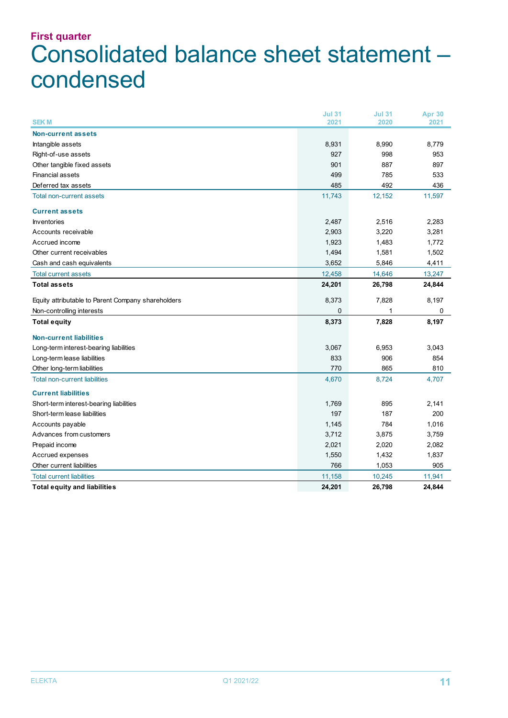### **First quarter** Consolidated balance sheet statement – condensed

| <b>SEKM</b>                                        | <b>Jul 31</b><br>2021 | <b>Jul 31</b><br>2020 | Apr 30<br>2021 |
|----------------------------------------------------|-----------------------|-----------------------|----------------|
|                                                    |                       |                       |                |
| <b>Non-current assets</b>                          |                       |                       |                |
| Intangible assets                                  | 8,931<br>927          | 8,990<br>998          | 8,779<br>953   |
| Right-of-use assets                                |                       |                       |                |
| Other tangible fixed assets                        | 901                   | 887                   | 897            |
| <b>Financial assets</b>                            | 499                   | 785                   | 533            |
| Deferred tax assets                                | 485                   | 492                   | 436            |
| <b>Total non-current assets</b>                    | 11,743                | 12,152                | 11,597         |
| <b>Current assets</b>                              |                       |                       |                |
| <b>Inventories</b>                                 | 2,487                 | 2,516                 | 2,283          |
| Accounts receivable                                | 2,903                 | 3,220                 | 3,281          |
| Accrued income                                     | 1,923                 | 1,483                 | 1,772          |
| Other current receivables                          | 1,494                 | 1,581                 | 1,502          |
| Cash and cash equivalents                          | 3,652                 | 5,846                 | 4,411          |
| <b>Total current assets</b>                        | 12,458                | 14,646                | 13,247         |
| <b>Total assets</b>                                | 24,201                | 26,798                | 24,844         |
| Equity attributable to Parent Company shareholders | 8,373                 | 7,828                 | 8,197          |
| Non-controlling interests                          | $\Omega$              |                       | 0              |
| <b>Total equity</b>                                | 8,373                 | 7,828                 | 8,197          |
| <b>Non-current liabilities</b>                     |                       |                       |                |
| Long-term interest-bearing liabilities             | 3,067                 | 6,953                 | 3,043          |
| Long-term lease liabilities                        | 833                   | 906                   | 854            |
| Other long-term liabilities                        | 770                   | 865                   | 810            |
| <b>Total non-current liabilities</b>               | 4,670                 | 8,724                 | 4,707          |
| <b>Current liabilities</b>                         |                       |                       |                |
| Short-term interest-bearing liabilities            | 1,769                 | 895                   | 2,141          |
| Short-term lease liabilities                       | 197                   | 187                   | 200            |
| Accounts payable                                   | 1,145                 | 784                   | 1,016          |
| Advances from customers                            | 3,712                 | 3,875                 | 3,759          |
| Prepaid income                                     | 2,021                 | 2,020                 | 2,082          |
| Accrued expenses                                   | 1,550                 | 1,432                 | 1,837          |
| Other current liabilities                          | 766                   | 1,053                 | 905            |
| <b>Total current liabilities</b>                   | 11,158                | 10,245                | 11,941         |
| <b>Total equity and liabilities</b>                | 24,201                | 26,798                | 24,844         |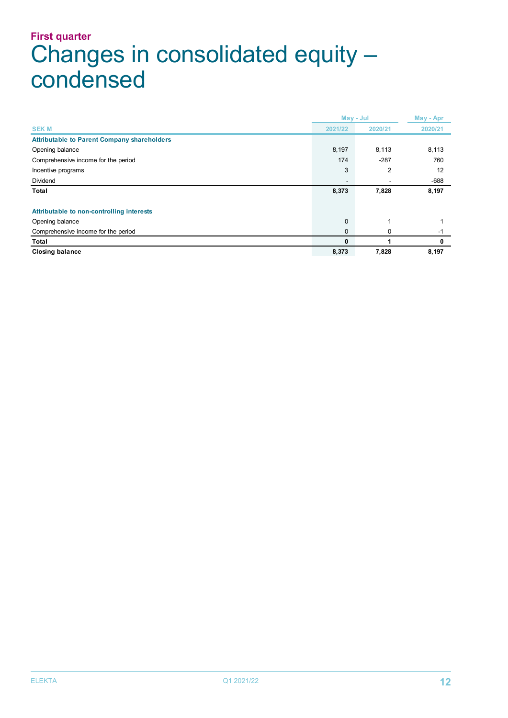### **First quarter** Changes in consolidated equity – condensed

|                                                    | May - Jul      |         | May - Apr |  |
|----------------------------------------------------|----------------|---------|-----------|--|
| <b>SEKM</b>                                        | 2021/22        | 2020/21 | 2020/21   |  |
| <b>Attributable to Parent Company shareholders</b> |                |         |           |  |
| Opening balance                                    | 8,197          | 8,113   | 8,113     |  |
| Comprehensive income for the period                | 174            | $-287$  | 760       |  |
| Incentive programs                                 | 3              | 2       | 12        |  |
| Dividend                                           | $\blacksquare$ |         | $-688$    |  |
| Total                                              | 8,373          | 7,828   | 8,197     |  |
|                                                    |                |         |           |  |
| Attributable to non-controlling interests          |                |         |           |  |
| Opening balance                                    | $\mathbf{0}$   |         |           |  |
| Comprehensive income for the period                | $\mathbf 0$    | 0       | $-1$      |  |
| Total                                              | 0              |         | 0         |  |
| <b>Closing balance</b>                             | 8,373          | 7,828   | 8,197     |  |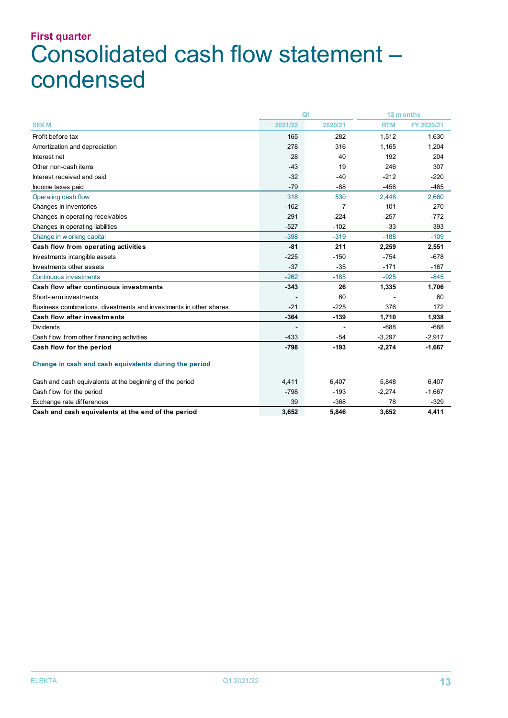### **First quarter** Consolidated cash flow statement – condensed

|                                                                    | Q <sub>1</sub> |         |            | 12 months  |
|--------------------------------------------------------------------|----------------|---------|------------|------------|
| <b>SEKM</b>                                                        | 2021/22        | 2020/21 | <b>RTM</b> | FY 2020/21 |
| Profit before tax                                                  | 165            | 282     | 1,512      | 1,630      |
| Amortization and depreciation                                      | 278            | 316     | 1,165      | 1,204      |
| Interest net                                                       | 28             | 40      | 192        | 204        |
| Other non-cash items                                               | $-43$          | 19      | 246        | 307        |
| Interest received and paid                                         | $-32$          | $-40$   | $-212$     | $-220$     |
| Income taxes paid                                                  | $-79$          | $-88$   | $-456$     | $-465$     |
| Operating cash flow                                                | 318            | 530     | 2,448      | 2,660      |
| Changes in inventories                                             | $-162$         | 7       | 101        | 270        |
| Changes in operating receivables                                   | 291            | $-224$  | $-257$     | $-772$     |
| Changes in operating liabilities                                   | $-527$         | $-102$  | $-33$      | 393        |
| Change in w orking capital                                         | $-398$         | $-319$  | $-188$     | $-109$     |
| Cash flow from operating activities                                | $-81$          | 211     | 2,259      | 2,551      |
| Investments intangible assets                                      | $-225$         | $-150$  | $-754$     | $-678$     |
| Investments other assets                                           | $-37$          | $-35$   | $-171$     | $-167$     |
| <b>Continuous investments</b>                                      | $-262$         | $-185$  | $-925$     | $-845$     |
| Cash flow after continuous investments                             | $-343$         | 26      | 1,335      | 1,706      |
| Short-term investments                                             |                | 60      |            | 60         |
| Business combinations, divestments and investments in other shares | $-21$          | $-225$  | 376        | 172        |
| <b>Cash flow after investments</b>                                 | $-364$         | $-139$  | 1,710      | 1,938      |
| <b>Dividends</b>                                                   |                |         | $-688$     | $-688$     |
| Cash flow from other financing activities                          | $-433$         | $-54$   | $-3,297$   | $-2,917$   |
| Cash flow for the period                                           | $-798$         | $-193$  | $-2,274$   | $-1,667$   |
| Change in cash and cash equivalents during the period              |                |         |            |            |
| Cash and cash equivalents at the beginning of the period           | 4,411          | 6,407   | 5,848      | 6,407      |
| Cash flow for the period                                           | $-798$         | $-193$  | $-2,274$   | $-1,667$   |
| Exchange rate differences                                          | 39             | $-368$  | 78         | $-329$     |
| Cash and cash equivalents at the end of the period                 | 3,652          | 5,846   | 3,652      | 4,411      |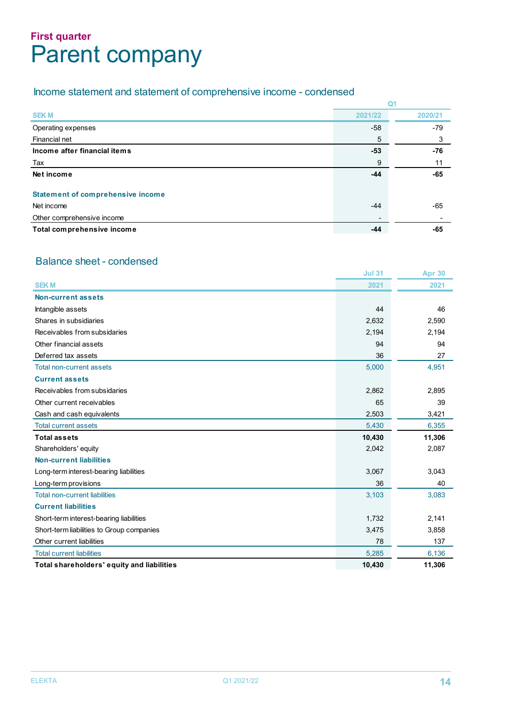### **First quarter** Parent company

### Income statement and statement of comprehensive income - condensed

| <b>SEKM</b>                              | 2021/22 | 2020/21 |
|------------------------------------------|---------|---------|
| Operating expenses                       | $-58$   | $-79$   |
| Financial net                            | 5       | 3       |
| Income after financial items             | -53     | $-76$   |
| Tax                                      | 9       | 11      |
| Net income                               | $-44$   | $-65$   |
| <b>Statement of comprehensive income</b> |         |         |
| Net income                               | -44     | -65     |
| Other comprehensive income               |         |         |
| Total comprehensive income               | -44     | -65     |

### Balance sheet - condensed

|                                            | <b>Jul 31</b> | <b>Apr 30</b> |
|--------------------------------------------|---------------|---------------|
| <b>SEKM</b>                                | 2021          | 2021          |
| Non-current assets                         |               |               |
| Intangible assets                          | 44            | 46            |
| Shares in subsidiaries                     | 2,632         | 2,590         |
| Receivables from subsidaries               | 2,194         | 2,194         |
| Other financial assets                     | 94            | 94            |
| Deferred tax assets                        | 36            | 27            |
| Total non-current assets                   | 5,000         | 4,951         |
| <b>Current assets</b>                      |               |               |
| Receivables from subsidaries               | 2,862         | 2,895         |
| Other current receivables                  | 65            | 39            |
| Cash and cash equivalents                  | 2,503         | 3,421         |
| <b>Total current assets</b>                | 5,430         | 6,355         |
| <b>Total assets</b>                        | 10,430        | 11,306        |
| Shareholders' equity                       | 2,042         | 2,087         |
| <b>Non-current liabilities</b>             |               |               |
| Long-term interest-bearing liabilities     | 3,067         | 3,043         |
| Long-term provisions                       | 36            | 40            |
| <b>Total non-current liabilities</b>       | 3,103         | 3,083         |
| <b>Current liabilities</b>                 |               |               |
| Short-term interest-bearing liabilities    | 1,732         | 2,141         |
| Short-term liabilities to Group companies  | 3,475         | 3,858         |
| Other current liabilities                  | 78            | 137           |
| <b>Total current liabilities</b>           | 5,285         | 6,136         |
| Total shareholders' equity and liabilities | 10,430        | 11,306        |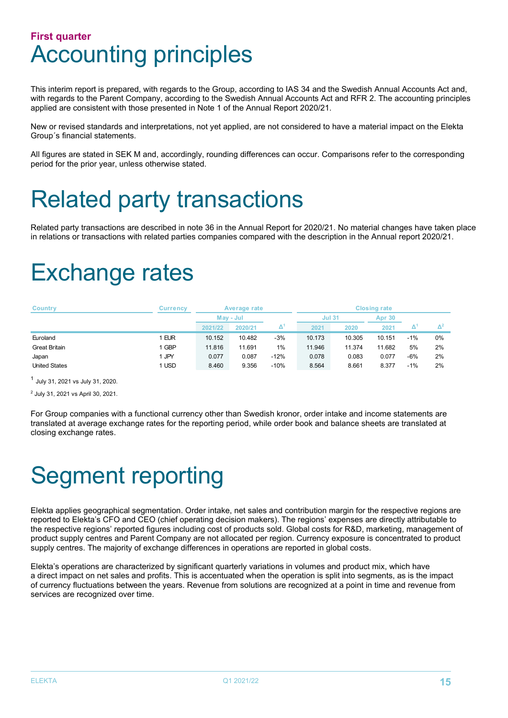### **First quarter** Accounting principles

This interim report is prepared, with regards to the Group, according to IAS 34 and the Swedish Annual Accounts Act and, with regards to the Parent Company, according to the Swedish Annual Accounts Act and RFR 2. The accounting principles applied are consistent with those presented in Note 1 of the Annual Report 2020/21.

New or revised standards and interpretations, not yet applied, are not considered to have a material impact on the Elekta Group´s financial statements.

All figures are stated in SEK M and, accordingly, rounding differences can occur. Comparisons refer to the corresponding period for the prior year, unless otherwise stated.

# Related party transactions

Related party transactions are described in note 36 in the Annual Report for 2020/21. No material changes have taken place in relations or transactions with related parties companies compared with the description in the Annual report 2020/21.

# Exchange rates

| <b>Country</b>       | <b>Currency</b> |           | Average rate |        | <b>Closing rate</b> |        |               |       |    |
|----------------------|-----------------|-----------|--------------|--------|---------------------|--------|---------------|-------|----|
|                      |                 | May - Jul |              |        | <b>Jul 31</b>       |        | <b>Apr 30</b> |       |    |
|                      |                 | 2021/22   | 2020/21      | Δ      | 2021                | 2020   | 2021          |       |    |
| Euroland             | 1 EUR           | 10.152    | 10.482       | $-3%$  | 10.173              | 10.305 | 10.151        | $-1%$ | 0% |
| <b>Great Britain</b> | 1 GBP           | 11.816    | 11.691       | $1\%$  | 11.946              | 11.374 | 11.682        | 5%    | 2% |
| Japan                | 1 JPY           | 0.077     | 0.087        | $-12%$ | 0.078               | 0.083  | 0.077         | $-6%$ | 2% |
| <b>United States</b> | 1 USD           | 8.460     | 9.356        | $-10%$ | 8.564               | 8.661  | 8.377         | $-1%$ | 2% |

<sup>1</sup> July 31, 2021 vs July 31, 2020.

<sup>2</sup> July 31, 2021 vs April 30, 2021.

For Group companies with a functional currency other than Swedish kronor, order intake and income statements are translated at average exchange rates for the reporting period, while order book and balance sheets are translated at closing exchange rates.

# Segment reporting

Elekta applies geographical segmentation. Order intake, net sales and contribution margin for the respective regions are reported to Elekta's CFO and CEO (chief operating decision makers). The regions' expenses are directly attributable to the respective regions' reported figures including cost of products sold. Global costs for R&D, marketing, management of product supply centres and Parent Company are not allocated per region. Currency exposure is concentrated to product supply centres. The majority of exchange differences in operations are reported in global costs.

Elekta's operations are characterized by significant quarterly variations in volumes and product mix, which have a direct impact on net sales and profits. This is accentuated when the operation is split into segments, as is the impact of currency fluctuations between the years. Revenue from solutions are recognized at a point in time and revenue from services are recognized over time.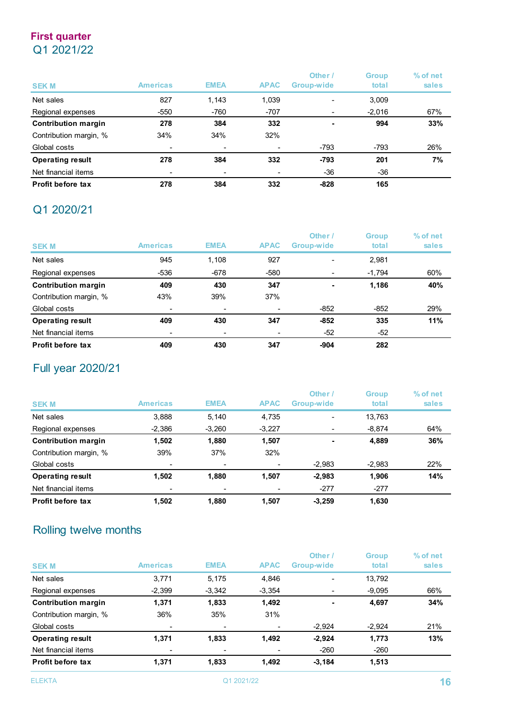### **First quarter** Q1 2021/22

| <b>SEK M</b>               | <b>Americas</b> | <b>EMEA</b>              | <b>APAC</b> | Other /<br>Group-wide | <b>Group</b><br>total | % of net<br>sales |
|----------------------------|-----------------|--------------------------|-------------|-----------------------|-----------------------|-------------------|
| Net sales                  | 827             | 1,143                    | 1,039       |                       | 3,009                 |                   |
| Regional expenses          | $-550$          | $-760$                   | $-707$      |                       | $-2,016$              | 67%               |
| <b>Contribution margin</b> | 278             | 384                      | 332         |                       | 994                   | 33%               |
| Contribution margin, %     | 34%             | 34%                      | 32%         |                       |                       |                   |
| Global costs               | -               | $\overline{\phantom{a}}$ |             | $-793$                | -793                  | 26%               |
| <b>Operating result</b>    | 278             | 384                      | 332         | -793                  | 201                   | 7%                |
| Net financial items        | -               | $\overline{\phantom{a}}$ |             | -36                   | -36                   |                   |
| <b>Profit before tax</b>   | 278             | 384                      | 332         | $-828$                | 165                   |                   |

### Q1 2020/21

| <b>SEKM</b>                | <b>Americas</b>          | <b>EMEA</b>              | <b>APAC</b> | Other /<br>Group-wide    | <b>Group</b><br>total | % of net<br>sales |
|----------------------------|--------------------------|--------------------------|-------------|--------------------------|-----------------------|-------------------|
| Net sales                  | 945                      | 1,108                    | 927         | $\overline{\phantom{0}}$ | 2,981                 |                   |
| Regional expenses          | -536                     | $-678$                   | -580        |                          | $-1,794$              | 60%               |
| <b>Contribution margin</b> | 409                      | 430                      | 347         | $\overline{a}$           | 1,186                 | 40%               |
| Contribution margin, %     | 43%                      | 39%                      | 37%         |                          |                       |                   |
| Global costs               | $\overline{\phantom{0}}$ | $\overline{\phantom{a}}$ | -           | $-852$                   | $-852$                | 29%               |
| <b>Operating result</b>    | 409                      | 430                      | 347         | $-852$                   | 335                   | 11%               |
| Net financial items        | -                        | -                        |             | $-52$                    | $-52$                 |                   |
| Profit before tax          | 409                      | 430                      | 347         | $-904$                   | 282                   |                   |

### Full year 2020/21

| <b>SEK M</b>               | <b>Americas</b>          | <b>EMEA</b>              | <b>APAC</b> | Other<br>Group-wide | <b>Group</b><br>total | % of net<br>sales |
|----------------------------|--------------------------|--------------------------|-------------|---------------------|-----------------------|-------------------|
| Net sales                  | 3,888                    | 5,140                    | 4,735       | ٠                   | 13,763                |                   |
| Regional expenses          | $-2,386$                 | $-3,260$                 | $-3,227$    |                     | $-8,874$              | 64%               |
| <b>Contribution margin</b> | 1.502                    | 1,880                    | 1,507       | $\blacksquare$      | 4,889                 | 36%               |
| Contribution margin, %     | 39%                      | 37%                      | 32%         |                     |                       |                   |
| Global costs               | $\overline{\phantom{0}}$ | $\overline{\phantom{a}}$ |             | $-2,983$            | $-2,983$              | 22%               |
| <b>Operating result</b>    | 1.502                    | 1,880                    | 1,507       | $-2,983$            | 1,906                 | 14%               |
| Net financial items        | $\overline{\phantom{a}}$ | $\overline{\phantom{a}}$ | ٠           | $-277$              | $-277$                |                   |
| Profit before tax          | 1.502                    | 1.880                    | 1,507       | $-3.259$            | 1,630                 |                   |

### Rolling twelve months

|                            |                          |                          |             | Other          | <b>Group</b> | % of net |
|----------------------------|--------------------------|--------------------------|-------------|----------------|--------------|----------|
| <b>SEK M</b>               | <b>Americas</b>          | <b>EMEA</b>              | <b>APAC</b> | Group-wide     | total        | sales    |
| Net sales                  | 3,771                    | 5,175                    | 4,846       | -              | 13,792       |          |
| Regional expenses          | $-2,399$                 | $-3,342$                 | $-3,354$    |                | $-9,095$     | 66%      |
| <b>Contribution margin</b> | 1,371                    | 1,833                    | 1,492       | $\blacksquare$ | 4,697        | 34%      |
| Contribution margin, %     | 36%                      | 35%                      | 31%         |                |              |          |
| Global costs               | $\overline{\phantom{0}}$ | $\overline{\phantom{a}}$ | ٠           | $-2,924$       | $-2,924$     | 21%      |
| <b>Operating result</b>    | 1,371                    | 1,833                    | 1,492       | $-2,924$       | 1,773        | 13%      |
| Net financial items        |                          | ٠                        |             | $-260$         | $-260$       |          |
| Profit before tax          | 1,371                    | 1,833                    | 1,492       | $-3,184$       | 1,513        |          |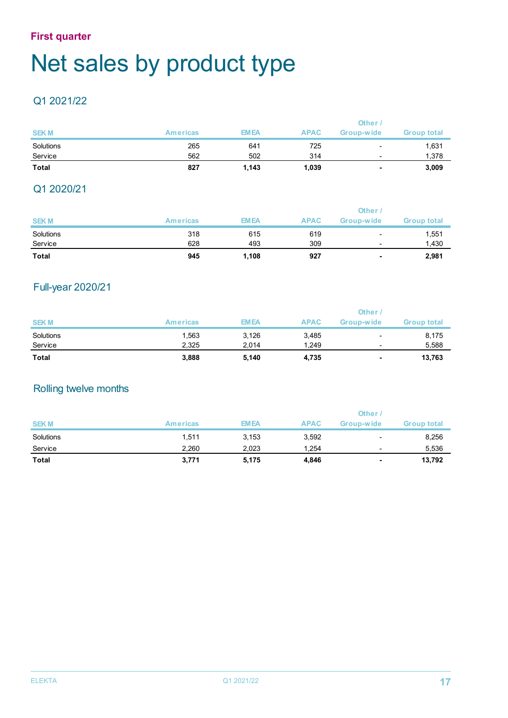### **First quarter**

# Net sales by product type

### Q1 2021/22

|              |                 |             |             | Other      |                    |
|--------------|-----------------|-------------|-------------|------------|--------------------|
| <b>SEKM</b>  | <b>Americas</b> | <b>EMEA</b> | <b>APAC</b> | Group-wide | <b>Group total</b> |
| Solutions    | 265             | 641         | 725         | -          | 1,631              |
| Service      | 562             | 502         | 314         | -          | 1,378              |
| <b>Total</b> | 827             | 1,143       | 1,039       | ٠          | 3,009              |

### Q1 2020/21

|              |                 |             |             | <b>Other</b>      |                    |
|--------------|-----------------|-------------|-------------|-------------------|--------------------|
| <b>SEKM</b>  | <b>Americas</b> | <b>EMEA</b> | <b>APAC</b> | <b>Group-wide</b> | <b>Group total</b> |
| Solutions    | 318             | 615         | 619         | ۰                 | 1,551              |
| Service      | 628             | 493         | 309         | -                 | 1,430              |
| <b>Total</b> | 945             | 1,108       | 927         |                   | 2,981              |

### Full-year 2020/21

|              |                 |             |             | Other      |                    |
|--------------|-----------------|-------------|-------------|------------|--------------------|
| <b>SEKM</b>  | <b>Americas</b> | <b>EMEA</b> | <b>APAC</b> | Group-wide | <b>Group total</b> |
| Solutions    | 1,563           | 3,126       | 3,485       | ۰          | 8,175              |
| Service      | 2.325           | 2.014       | 1.249       | -          | 5,588              |
| <b>Total</b> | 3,888           | 5,140       | 4,735       | ۰          | 13,763             |

### Rolling twelve months

|              |                 |             |             | <b>Other</b> |                    |
|--------------|-----------------|-------------|-------------|--------------|--------------------|
| <b>SEKM</b>  | <b>Americas</b> | <b>EMEA</b> | <b>APAC</b> | Group-wide   | <b>Group total</b> |
| Solutions    | 1.511           | 3,153       | 3,592       | -            | 8,256              |
| Service      | 2.260           | 2,023       | 1.254       | -            | 5,536              |
| <b>Total</b> | 3,771           | 5,175       | 4,846       | ٠            | 13,792             |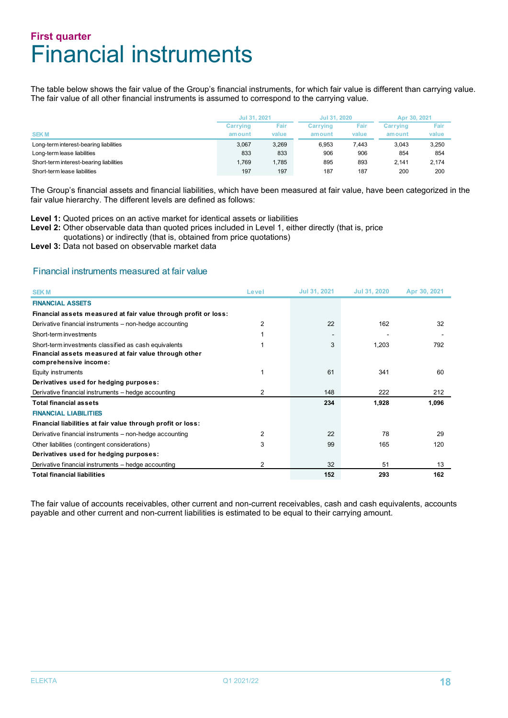### **First quarter** Financial instruments

The table below shows the fair value of the Group's financial instruments, for which fair value is different than carrying value. The fair value of all other financial instruments is assumed to correspond to the carrying value.

|                                         | Jul 31, 2021     |       | Jul 31, 2020 |       | Apr 30, 2021    |       |
|-----------------------------------------|------------------|-------|--------------|-------|-----------------|-------|
|                                         | Fair<br>Carrying |       | Carrying     | Fair  | <b>Carrving</b> | Fair  |
| <b>SEKM</b>                             | amount           | value | amount       | value | amount          | value |
| Long-term interest-bearing liabilities  | 3.067            | 3,269 | 6.953        | 7.443 | 3.043           | 3,250 |
| Long-term lease liabilities             | 833              | 833   | 906          | 906   | 854             | 854   |
| Short-term interest-bearing liabilities | 1.769            | 1.785 | 895          | 893   | 2.141           | 2.174 |
| Short-term lease liabilities            | 197              | 197   | 187          | 187   | 200             | 200   |

The Group's financial assets and financial liabilities, which have been measured at fair value, have been categorized in the fair value hierarchy. The different levels are defined as follows:

**Level 1:** Quoted prices on an active market for identical assets or liabilities

- Level 2: Other observable data than quoted prices included in Level 1, either directly (that is, price
- quotations) or indirectly (that is, obtained from price quotations)

**Level 3:** Data not based on observable market data

#### Financial instruments measured at fair value

| <b>SEKM</b>                                                                    | Level          | Jul 31, 2021 | Jul 31, 2020 | Apr 30, 2021 |
|--------------------------------------------------------------------------------|----------------|--------------|--------------|--------------|
| <b>FINANCIAL ASSETS</b>                                                        |                |              |              |              |
| Financial assets measured at fair value through profit or loss:                |                |              |              |              |
| Derivative financial instruments - non-hedge accounting                        | 2              | 22           | 162          | 32           |
| Short-term investments                                                         |                |              |              |              |
| Short-term investments classified as cash equivalents                          |                | 3            | 1,203        | 792          |
| Financial assets measured at fair value through other<br>comprehensive income: |                |              |              |              |
| Equity instruments                                                             |                | 61           | 341          | 60           |
| Derivatives used for hedging purposes:                                         |                |              |              |              |
| Derivative financial instruments - hedge accounting                            | 2              | 148          | 222          | 212          |
| <b>Total financial assets</b>                                                  |                | 234          | 1,928        | 1,096        |
| <b>FINANCIAL LIABILITIES</b>                                                   |                |              |              |              |
| Financial liabilities at fair value through profit or loss:                    |                |              |              |              |
| Derivative financial instruments – non-hedge accounting                        | 2              | 22           | 78           | 29           |
| Other liabilities (contingent considerations)                                  | 3              | 99           | 165          | 120          |
| Derivatives used for hedging purposes:                                         |                |              |              |              |
| Derivative financial instruments - hedge accounting                            | $\overline{2}$ | 32           | 51           | 13           |
| <b>Total financial liabilities</b>                                             |                | 152          | 293          | 162          |

The fair value of accounts receivables, other current and non-current receivables, cash and cash equivalents, accounts payable and other current and non-current liabilities is estimated to be equal to their carrying amount.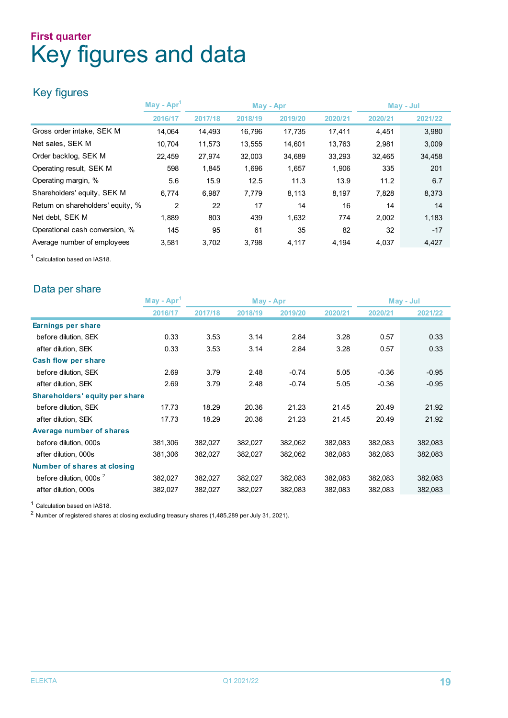### **First quarter** Key figures and data

### Key figures

|                                   | $\textsf{May - Apr}^1$ |         | May - Apr |         | May - Jul |         |         |
|-----------------------------------|------------------------|---------|-----------|---------|-----------|---------|---------|
|                                   | 2016/17                | 2017/18 | 2018/19   | 2019/20 | 2020/21   | 2020/21 | 2021/22 |
| Gross order intake, SEK M         | 14.064                 | 14,493  | 16,796    | 17,735  | 17,411    | 4,451   | 3,980   |
| Net sales, SEK M                  | 10,704                 | 11,573  | 13,555    | 14,601  | 13,763    | 2,981   | 3,009   |
| Order backlog, SEK M              | 22,459                 | 27,974  | 32,003    | 34,689  | 33,293    | 32,465  | 34,458  |
| Operating result, SEK M           | 598                    | 1,845   | 1,696     | 1,657   | 1,906     | 335     | 201     |
| Operating margin, %               | 5.6                    | 15.9    | 12.5      | 11.3    | 13.9      | 11.2    | 6.7     |
| Shareholders' equity, SEK M       | 6.774                  | 6,987   | 7,779     | 8,113   | 8,197     | 7,828   | 8,373   |
| Return on shareholders' equity, % | 2                      | 22      | 17        | 14      | 16        | 14      | 14      |
| Net debt, SEK M                   | 1.889                  | 803     | 439       | 1,632   | 774       | 2,002   | 1,183   |
| Operational cash conversion, %    | 145                    | 95      | 61        | 35      | 82        | 32      | $-17$   |
| Average number of employees       | 3,581                  | 3,702   | 3,798     | 4,117   | 4,194     | 4,037   | 4,427   |

<sup>1</sup> Calculation based on IAS18.

### Data per share

|                                | May - Apr |         | May - Apr |         |         | May - Jul |         |
|--------------------------------|-----------|---------|-----------|---------|---------|-----------|---------|
|                                | 2016/17   | 2017/18 | 2018/19   | 2019/20 | 2020/21 | 2020/21   | 2021/22 |
| Earnings per share             |           |         |           |         |         |           |         |
| before dilution, SEK           | 0.33      | 3.53    | 3.14      | 2.84    | 3.28    | 0.57      | 0.33    |
| after dilution, SEK            | 0.33      | 3.53    | 3.14      | 2.84    | 3.28    | 0.57      | 0.33    |
| <b>Cash flow per share</b>     |           |         |           |         |         |           |         |
| before dilution, SEK           | 2.69      | 3.79    | 2.48      | $-0.74$ | 5.05    | $-0.36$   | $-0.95$ |
| after dilution, SEK            | 2.69      | 3.79    | 2.48      | $-0.74$ | 5.05    | $-0.36$   | $-0.95$ |
| Shareholders' equity per share |           |         |           |         |         |           |         |
| before dilution, SEK           | 17.73     | 18.29   | 20.36     | 21.23   | 21.45   | 20.49     | 21.92   |
| after dilution, SEK            | 17.73     | 18.29   | 20.36     | 21.23   | 21.45   | 20.49     | 21.92   |
| Average number of shares       |           |         |           |         |         |           |         |
| before dilution, 000s          | 381,306   | 382,027 | 382,027   | 382,062 | 382,083 | 382,083   | 382,083 |
| after dilution, 000s           | 381,306   | 382,027 | 382,027   | 382,062 | 382,083 | 382,083   | 382,083 |
| Number of shares at closing    |           |         |           |         |         |           |         |
| before dilution, 000s $^2$     | 382,027   | 382,027 | 382,027   | 382,083 | 382,083 | 382,083   | 382,083 |
| after dilution, 000s           | 382,027   | 382,027 | 382,027   | 382,083 | 382,083 | 382,083   | 382,083 |

<sup>1</sup> Calculation based on IAS18.

<sup>2</sup> Number of registered shares at closing excluding treasury shares (1,485,289 per July 31, 2021).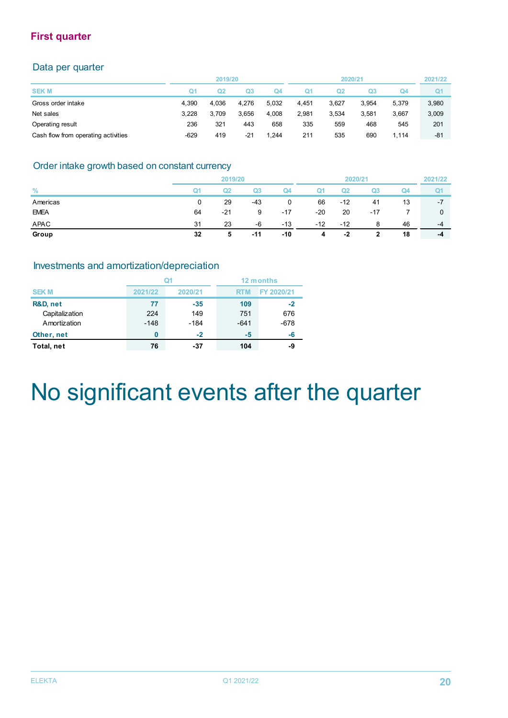### **First quarter**

### Data per quarter

|                                     |        | 2019/20 |       |       |       | 2020/21 |       |       | 2021/22        |
|-------------------------------------|--------|---------|-------|-------|-------|---------|-------|-------|----------------|
| <b>SEKM</b>                         | Q1     | Q2      | Q3    | Q4    | Ο1    | Ω2      | Q3    | Q4    | Q <sub>1</sub> |
| Gross order intake                  | 4.390  | 4.036   | 4.276 | 5.032 | 4.451 | 3.627   | 3.954 | 5.379 | 3,980          |
| Net sales                           | 3.228  | 3.709   | 3.656 | 4.008 | 2.981 | 3.534   | 3.581 | 3.667 | 3,009          |
| Operating result                    | 236    | 321     | 443   | 658   | 335   | 559     | 468   | 545   | 201            |
| Cash flow from operating activities | $-629$ | 419     | -21   | .244  | 211   | 535     | 690   | .114  | -81            |

### Order intake growth based on constant currency

|               | 2019/20        |       |       | 2020/21 |       |                | 2021/22 |    |                |
|---------------|----------------|-------|-------|---------|-------|----------------|---------|----|----------------|
| $\frac{9}{6}$ | Q <sub>1</sub> | Q2    | Q3    | Q4      | Q1    | Q <sub>2</sub> | Q3      | Q4 | Q <sub>1</sub> |
| Americas      | 0              | 29    | $-43$ | 0       | 66    | $-12$          | 41      | 13 | $-7$           |
| <b>EMEA</b>   | 64             | $-21$ | 9     | $-17$   | $-20$ | 20             | $-17$   |    |                |
| APAC          | 31             | 23    | -6    | $-13$   | $-12$ | $-12$          | 8       | 46 | $-4$           |
| Group         | 32             | 5     | -11   | $-10$   | 4     | -2             | 2       | 18 | -4             |

### Investments and amortization/depreciation

|                                            |                     |                        | 12 months            |                     |  |
|--------------------------------------------|---------------------|------------------------|----------------------|---------------------|--|
| <b>SEKM</b>                                | 2021/22             | 2020/21                | <b>RTM</b>           | FY 2020/21          |  |
| R&D, net<br>Capitalization<br>Amortization | 77<br>224<br>$-148$ | $-35$<br>149<br>$-184$ | 109<br>751<br>$-641$ | -2<br>676<br>$-678$ |  |
| Other, net                                 | 0                   | $-2$                   | -5                   | -6                  |  |
| Total, net                                 | 76                  | -37                    | 104                  | -9                  |  |

# No significant events after the quarter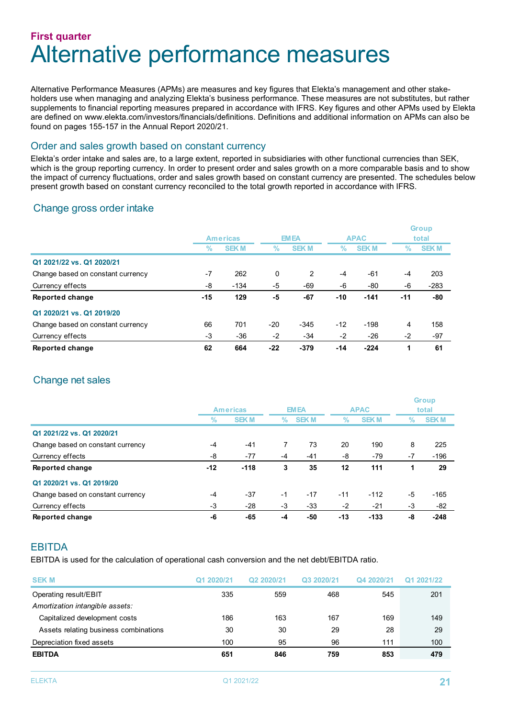### **First quarter** Alternative performance measures

Alternative Performance Measures (APMs) are measures and key figures that Elekta's management and other stakeholders use when managing and analyzing Elekta's business performance. These measures are not substitutes, but rather supplements to financial reporting measures prepared in accordance with IFRS. Key figures and other APMs used by Elekta are defined on www.elekta.com/investors/financials/definitions. Definitions and additional information on APMs can also be found on pages 155-157 in the Annual Report 2020/21.

#### Order and sales growth based on constant currency

Elekta's order intake and sales are, to a large extent, reported in subsidiaries with other functional currencies than SEK, which is the group reporting currency. In order to present order and sales growth on a more comparable basis and to show the impact of currency fluctuations, order and sales growth based on constant currency are presented. The schedules below present growth based on constant currency reconciled to the total growth reported in accordance with IFRS.

### Change gross order intake

|                                   | <b>Americas</b> |             |       | <b>EMEA</b> |       | <b>APAC</b> |       | <b>Group</b><br>total |  |
|-----------------------------------|-----------------|-------------|-------|-------------|-------|-------------|-------|-----------------------|--|
|                                   | %               | <b>SEKM</b> | $\%$  | <b>SEKM</b> | $\%$  | <b>SEKM</b> | $\%$  | <b>SEKM</b>           |  |
| Q1 2021/22 vs. Q1 2020/21         |                 |             |       |             |       |             |       |                       |  |
| Change based on constant currency | $-7$            | 262         | 0     | 2           | -4    | -61         | -4    | 203                   |  |
| Currency effects                  | -8              | $-134$      | -5    | -69         | -6    | -80         | -6    | $-283$                |  |
| Reported change                   | -15             | 129         | -5    | $-67$       | $-10$ | $-141$      | $-11$ | -80                   |  |
| Q1 2020/21 vs. Q1 2019/20         |                 |             |       |             |       |             |       |                       |  |
| Change based on constant currency | 66              | 701         | -20   | $-345$      | $-12$ | $-198$      | 4     | 158                   |  |
| Currency effects                  | -3              | -36         | $-2$  | $-34$       | $-2$  | $-26$       | $-2$  | $-97$                 |  |
| Reported change                   | 62              | 664         | $-22$ | $-379$      | $-14$ | $-224$      | 1     | 61                    |  |

### Change net sales

|                                   | <b>Americas</b> |             |      | <b>EMEA</b> | <b>APAC</b> |             | <b>Group</b><br>total |             |
|-----------------------------------|-----------------|-------------|------|-------------|-------------|-------------|-----------------------|-------------|
|                                   | ℅               | <b>SEKM</b> | %    | <b>SEKM</b> | $\%$        | <b>SEKM</b> | %                     | <b>SEKM</b> |
| Q1 2021/22 vs. Q1 2020/21         |                 |             |      |             |             |             |                       |             |
| Change based on constant currency | $-4$            | $-41$       |      | 73          | 20          | 190         | 8                     | 225         |
| Currency effects                  | -8              | $-77$       | -4   | $-41$       | -8          | $-79$       | $-7$                  | $-196$      |
| Reported change                   | $-12$           | $-118$      | 3    | 35          | 12          | 111         |                       | 29          |
| Q1 2020/21 vs. Q1 2019/20         |                 |             |      |             |             |             |                       |             |
| Change based on constant currency | $-4$            | $-37$       | $-1$ | $-17$       | $-11$       | $-112$      | $-5$                  | $-165$      |
| Currency effects                  | -3              | -28         | -3   | $-33$       | $-2$        | $-21$       | -3                    | -82         |
| Reported change                   | -6              | $-65$       | -4   | -50         | $-13$       | $-133$      | -8                    | $-248$      |

### **FBITDA**

EBITDA is used for the calculation of operational cash conversion and the net debt/EBITDA ratio.

| <b>SEK M</b>                          | Q1 2020/21 | Q2 2020/21 | Q3 2020/21 | Q4 2020/21 | Q1 2021/22 |
|---------------------------------------|------------|------------|------------|------------|------------|
| Operating result/EBIT                 | 335        | 559        | 468        | 545        | 201        |
| Amortization intangible assets:       |            |            |            |            |            |
| Capitalized development costs         | 186        | 163        | 167        | 169        | 149        |
| Assets relating business combinations | 30         | 30         | 29         | 28         | 29         |
| Depreciation fixed assets             | 100        | 95         | 96         | 111        | 100        |
| <b>EBITDA</b>                         | 651        | 846        | 759        | 853        | 479        |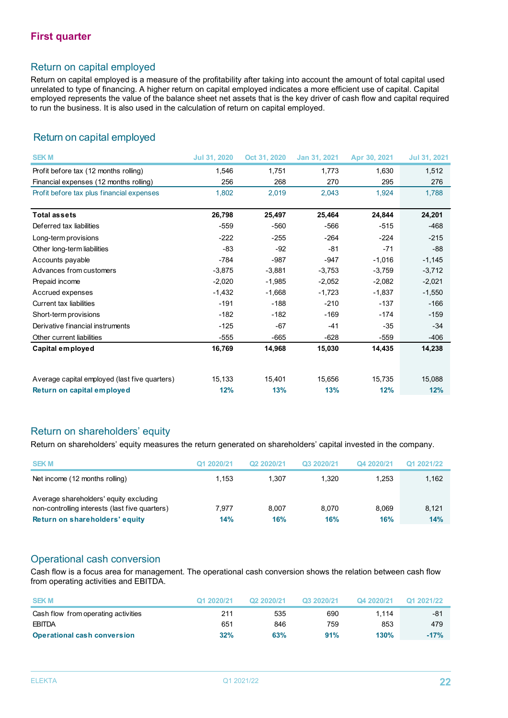### Return on capital employed

Return on capital employed is a measure of the profitability after taking into account the amount of total capital used unrelated to type of financing. A higher return on capital employed indicates a more efficient use of capital. Capital employed represents the value of the balance sheet net assets that is the key driver of cash flow and capital required to run the business. It is also used in the calculation of return on capital employed.

### Return on capital employed

| <b>SEKM</b>                                   | <b>Jul 31, 2020</b> | Oct 31, 2020 | Jan 31, 2021 | Apr 30, 2021 | <b>Jul 31, 2021</b> |
|-----------------------------------------------|---------------------|--------------|--------------|--------------|---------------------|
| Profit before tax (12 months rolling)         | 1,546               | 1,751        | 1,773        | 1,630        | 1,512               |
| Financial expenses (12 months rolling)        | 256                 | 268          | 270          | 295          | 276                 |
| Profit before tax plus financial expenses     | 1,802               | 2,019        | 2,043        | 1,924        | 1.788               |
|                                               |                     |              |              |              |                     |
| <b>Total assets</b>                           | 26,798              | 25,497       | 25,464       | 24,844       | 24,201              |
| Deferred tax liabilities                      | $-559$              | $-560$       | $-566$       | $-515$       | $-468$              |
| Long-term provisions                          | $-222$              | $-255$       | $-264$       | $-224$       | $-215$              |
| Other long-term liabilities                   | -83                 | $-92$        | $-81$        | $-71$        | $-88$               |
| Accounts payable                              | $-784$              | $-987$       | $-947$       | $-1,016$     | $-1,145$            |
| Advances from customers                       | $-3,875$            | $-3,881$     | $-3,753$     | $-3,759$     | $-3,712$            |
| Prepaid income                                | $-2,020$            | $-1,985$     | $-2,052$     | $-2,082$     | $-2,021$            |
| Accrued expenses                              | $-1,432$            | $-1,668$     | $-1,723$     | $-1,837$     | $-1,550$            |
| <b>Current tax liabilities</b>                | $-191$              | $-188$       | $-210$       | $-137$       | $-166$              |
| Short-term provisions                         | $-182$              | $-182$       | $-169$       | $-174$       | $-159$              |
| Derivative financial instruments              | $-125$              | $-67$        | $-41$        | $-35$        | $-34$               |
| Other current liabilities                     | $-555$              | $-665$       | $-628$       | $-559$       | $-406$              |
| Capital employed                              | 16,769              | 14,968       | 15,030       | 14,435       | 14,238              |
|                                               |                     |              |              |              |                     |
| Average capital employed (last five quarters) | 15,133              | 15,401       | 15,656       | 15,735       | 15,088              |
| Return on capital employed                    | 12%                 | 13%          | 13%          | 12%          | 12%                 |

### Return on shareholders' equity

Return on shareholders' equity measures the return generated on shareholders' capital invested in the company.

| <b>SEKM</b>                                                                                                                | Q1 2020/21   | Q <sub>2</sub> 2020/21 | Q3 2020/21   | Q4 2020/21   | Q1 2021/22   |
|----------------------------------------------------------------------------------------------------------------------------|--------------|------------------------|--------------|--------------|--------------|
| Net income (12 months rolling)                                                                                             | 1.153        | 1.307                  | 1.320        | 1.253        | 1,162        |
| Average shareholders' equity excluding<br>non-controlling interests (last five quarters)<br>Return on shareholders' equity | 7.977<br>14% | 8.007<br>16%           | 8.070<br>16% | 8.069<br>16% | 8.121<br>14% |

### Operational cash conversion

Cash flow is a focus area for management. The operational cash conversion shows the relation between cash flow from operating activities and EBITDA.

| <b>SEKM</b>                         | Q1 2020/21 | Q2 2020/21 | Q3 2020/21 | Q4 2020/21 | Q1 2021/22 |
|-------------------------------------|------------|------------|------------|------------|------------|
| Cash flow from operating activities | 211        | 535        | 690        | 1.114      | -81        |
| EBITDA                              | 651        | 846        | 759        | 853        | 479        |
| <b>Operational cash conversion</b>  | 32%        | 63%        | 91%        | 130%       | $-17%$     |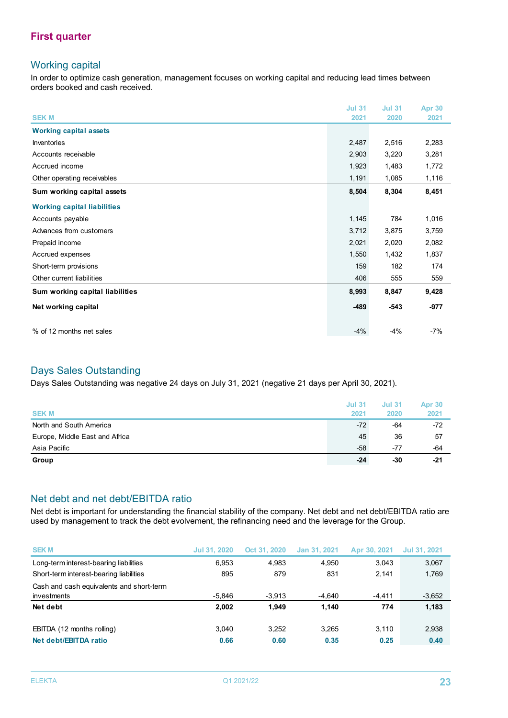### **First quarter**

### Working capital

In order to optimize cash generation, management focuses on working capital and reducing lead times between orders booked and cash received.

|                                    | <b>Jul 31</b> | <b>Jul 31</b> | <b>Apr 30</b> |
|------------------------------------|---------------|---------------|---------------|
| <b>SEK M</b>                       | 2021          | 2020          | 2021          |
| <b>Working capital assets</b>      |               |               |               |
| Inventories                        | 2,487         | 2,516         | 2,283         |
| Accounts receivable                | 2,903         | 3,220         | 3,281         |
| Accrued income                     | 1,923         | 1,483         | 1,772         |
| Other operating receivables        | 1,191         | 1,085         | 1,116         |
| Sum working capital assets         | 8,504         | 8,304         | 8,451         |
| <b>Working capital liabilities</b> |               |               |               |
| Accounts payable                   | 1,145         | 784           | 1,016         |
| Advances from customers            | 3,712         | 3,875         | 3,759         |
| Prepaid income                     | 2,021         | 2,020         | 2,082         |
| Accrued expenses                   | 1,550         | 1,432         | 1,837         |
| Short-term provisions              | 159           | 182           | 174           |
| Other current liabilities          | 406           | 555           | 559           |
| Sum working capital liabilities    | 8,993         | 8,847         | 9,428         |
| Net working capital                | -489          | $-543$        | $-977$        |
| % of 12 months net sales           | $-4%$         | $-4%$         | $-7%$         |

### Days Sales Outstanding

Days Sales Outstanding was negative 24 days on July 31, 2021 (negative 21 days per April 30, 2021).

| <b>SEK M</b>                   | <b>Jul 31</b><br>2021 | <b>Jul 31</b><br>2020 | <b>Apr 30</b><br>2021 |
|--------------------------------|-----------------------|-----------------------|-----------------------|
| North and South America        | $-72$                 | -64                   | $-72$                 |
| Europe, Middle East and Africa | 45                    | 36                    | 57                    |
| Asia Pacific                   | $-58$                 | -77                   | -64                   |
| Group                          | $-24$                 | -30                   | $-21$                 |

### Net debt and net debt/EBITDA ratio

Net debt is important for understanding the financial stability of the company. Net debt and net debt/EBITDA ratio are used by management to track the debt evolvement, the refinancing need and the leverage for the Group.

| <b>SEKM</b>                              | <b>Jul 31, 2020</b> | Oct 31, 2020 | Jan 31, 2021 | Apr 30, 2021 | Jul 31, 2021 |
|------------------------------------------|---------------------|--------------|--------------|--------------|--------------|
| Long-term interest-bearing liabilities   | 6.953               | 4.983        | 4.950        | 3.043        | 3,067        |
| Short-term interest-bearing liabilities  | 895                 | 879          | 831          | 2.141        | 1,769        |
| Cash and cash equivalents and short-term |                     |              |              |              |              |
| investments                              | $-5.846$            | $-3.913$     | -4.640       | $-4.411$     | $-3,652$     |
| Net debt                                 | 2,002               | 1.949        | 1.140        | 774          | 1,183        |
| EBITDA (12 months rolling)               | 3.040               | 3.252        | 3.265        | 3.110        | 2,938        |
| Net debt/EBITDA ratio                    | 0.66                | 0.60         | 0.35         | 0.25         | 0.40         |